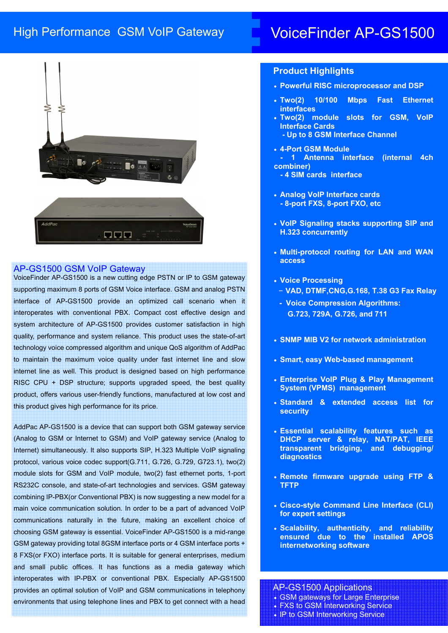# High Performance GSM VoIP Gateway 
L VoiceFinder AP-GS1500



## AP-GS1500 GSM VoIP Gateway

VoiceFinder AP-GS1500 is a new cutting edge PSTN or IP to GSM gateway supporting maximum 8 ports of GSM Voice interface. GSM and analog PSTN interface of AP-GS1500 provide an optimized call scenario when it interoperates with conventional PBX. Compact cost effective design and system architecture of AP-GS1500 provides customer satisfaction in high quality, performance and system reliance. This product uses the state-of-art technology voice compressed algorithm and unique QoS algorithm of AddPac to maintain the maximum voice quality under fast internet line and slow internet line as well. This product is designed based on high performance RISC CPU + DSP structure; supports upgraded speed, the best quality product, offers various user-friendly functions, manufactured at low cost and this product gives high performance for its price.

AddPac AP-GS1500 is a device that can support both GSM gateway service (Analog to GSM or Internet to GSM) and VoIP gateway service (Analog to Internet) simultaneously. It also supports SIP, H.323 Multiple VoIP signaling protocol, various voice codec support(G.711, G.726, G.729, G723.1), two(2) module slots for GSM and VoIP module, two(2) fast ethernet ports, 1-port RS232C console, and state-of-art technologies and services. GSM gateway combining IP-PBX(or Conventional PBX) is now suggesting a new model for a main voice communication solution. In order to be a part of advanced VoIP communications naturally in the future, making an excellent choice of choosing GSM gateway is essential. VoiceFinder AP-GS1500 is a mid-range GSM gateway providing total 8GSM interface ports or 4 GSM interface ports + 8 FXS(or FXO) interface ports. It is suitable for general enterprises, medium and small public offices. It has functions as a media gateway which interoperates with IP-PBX or conventional PBX. Especially AP-GS1500 provides an optimal solution of VoIP and GSM communications in telephony environments that using telephone lines and PBX to get connect with a head

# **Product Highlights**

- **Powerful RISC microprocessor and DSP**
- **Two(2) 10/100 Mbps Fast Ethernet interfaces**
- **Two(2) module slots for GSM, VoIP Interface Cards**
	- **Up to 8 GSM Interface Channel**
- **4-Port GSM Module - 1 Antenna interface (internal 4ch combiner)** 
	- **4 SIM cards interface**
	- **Analog VoIP Interface cards - 8-port FXS, 8-port FXO, etc**
	- **VoIP Signaling stacks supporting SIP and H.323 concurrently**
- **Multi-protocol routing for LAN and WAN access**
- **Voice Processing**
	- **VAD, DTMF,CNG,G.168, T.38 G3 Fax Relay**
	- **Voice Compression Algorithms: G.723, 729A, G.726, and 711**
- **SNMP MIB V2 for network administration**
- **Smart, easy Web-based management**
- **Enterprise VoIP Plug & Play Management System (VPMS) management**
- **Standard & extended access list for security**
- **Essential scalability features such as DHCP server & relay, NAT/PAT, IEEE transparent bridging, and debugging/ diagnostics**
- **Remote firmware upgrade using FTP & TFTP**
- **Cisco-style Command Line Interface (CLI) for expert settings**
- **Scalability, authenticity, and reliability ensured due to the installed APOS internetworking software**

AP-GS1500 Applications • GSM gateways for Large Enterprise

- 
- FXS to GSM Interworking Service
- IP to GSM Interworking Service